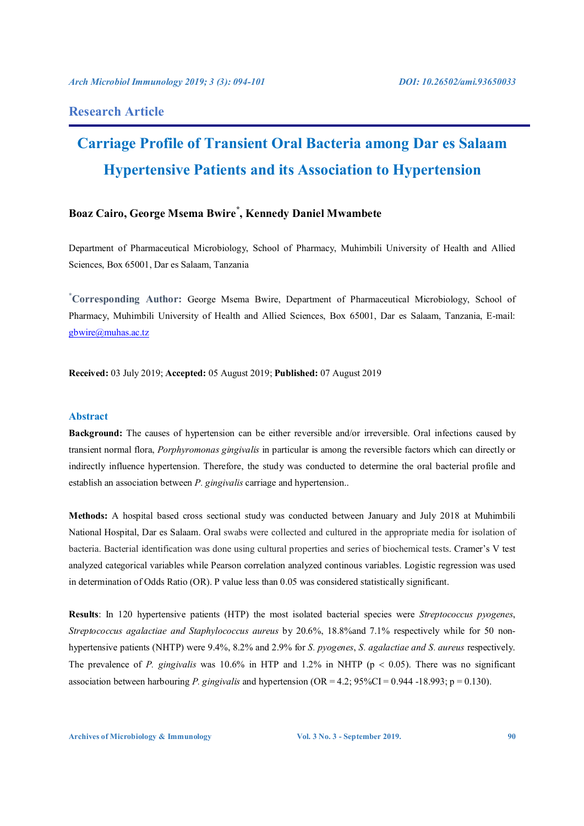# **Research Article**

# **Carriage Profile of Transient Oral Bacteria among Dar es Salaam Hypertensive Patients and its Association to Hypertension**

# **Boaz Cairo, George Msema Bwire\* , Kennedy Daniel Mwambete**

Department of Pharmaceutical Microbiology, School of Pharmacy, Muhimbili University of Health and Allied Sciences, Box 65001, Dar es Salaam, Tanzania

**\* Corresponding Author:** George Msema Bwire, Department of Pharmaceutical Microbiology, School of Pharmacy, Muhimbili University of Health and Allied Sciences, Box 65001, Dar es Salaam, Tanzania, E-mail: gbwire@muhas.ac.tz

**Received:** 03 July 2019; **Accepted:** 05 August 2019; **Published:** 07 August 2019

# **Abstract**

**Background:** The causes of hypertension can be either reversible and/or irreversible. Oral infections caused by transient normal flora, *Porphyromonas gingivalis* in particular is among the reversible factors which can directly or indirectly influence hypertension. Therefore, the study was conducted to determine the oral bacterial profile and establish an association between *P. gingivalis* carriage and hypertension..

**Methods:** A hospital based cross sectional study was conducted between January and July 2018 at Muhimbili National Hospital, Dar es Salaam. Oral swabs were collected and cultured in the appropriate media for isolation of bacteria. Bacterial identification was done using cultural properties and series of biochemical tests. Cramer's V test analyzed categorical variables while Pearson correlation analyzed continous variables. Logistic regression was used in determination of Odds Ratio (OR). P value less than 0.05 was considered statistically significant.

**Results**: In 120 hypertensive patients (HTP) the most isolated bacterial species were *Streptococcus pyogenes*, *Streptococcus agalactiae and Staphylococcus aureus* by 20.6%, 18.8%and 7.1% respectively while for 50 nonhypertensive patients (NHTP) were 9.4%, 8.2% and 2.9% for *S. pyogenes*, *S. agalactiae and S. aureus* respectively. The prevalence of *P. gingivalis* was 10.6% in HTP and 1.2% in NHTP ( $p < 0.05$ ). There was no significant association between harbouring *P. gingivalis* and hypertension (OR = 4.2; 95%CI = 0.944 -18.993; p = 0.130).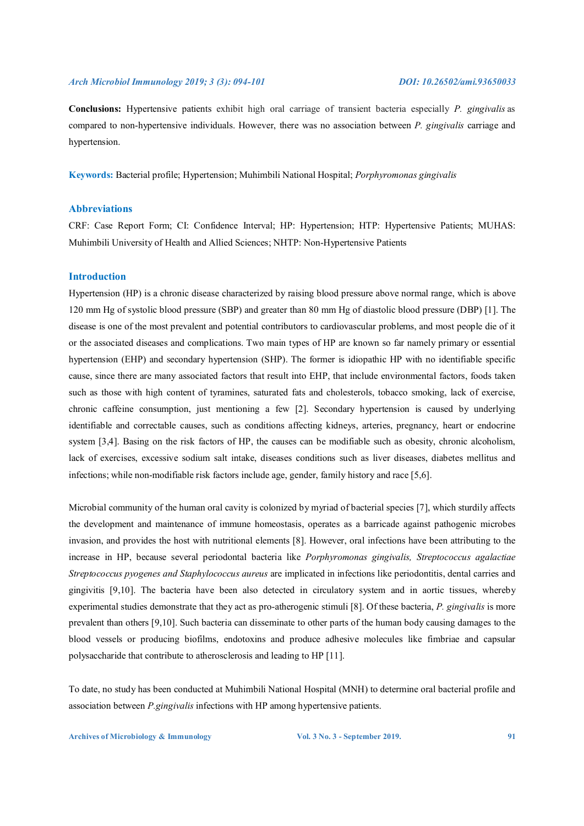**Conclusions:** Hypertensive patients exhibit high oral carriage of transient bacteria especially *P. gingivalis* as compared to non-hypertensive individuals. However, there was no association between *P. gingivalis* carriage and hypertension.

**Keywords:** Bacterial profile; Hypertension; Muhimbili National Hospital; *Porphyromonas gingivalis*

# **Abbreviations**

CRF: Case Report Form; CI: Confidence Interval; HP: Hypertension; HTP: Hypertensive Patients; MUHAS: Muhimbili University of Health and Allied Sciences; NHTP: Non-Hypertensive Patients

# **Introduction**

Hypertension (HP) is a chronic disease characterized by raising blood pressure above normal range, which is above 120 mm Hg of systolic blood pressure (SBP) and greater than 80 mm Hg of diastolic blood pressure (DBP) [1]. The disease is one of the most prevalent and potential contributors to cardiovascular problems, and most people die of it or the associated diseases and complications. Two main types of HP are known so far namely primary or essential hypertension (EHP) and secondary hypertension (SHP). The former is idiopathic HP with no identifiable specific cause, since there are many associated factors that result into EHP, that include environmental factors, foods taken such as those with high content of tyramines, saturated fats and cholesterols, tobacco smoking, lack of exercise, chronic caffeine consumption, just mentioning a few [2]. Secondary hypertension is caused by underlying identifiable and correctable causes, such as conditions affecting kidneys, arteries, pregnancy, heart or endocrine system [3,4]. Basing on the risk factors of HP, the causes can be modifiable such as obesity, chronic alcoholism, lack of exercises, excessive sodium salt intake, diseases conditions such as liver diseases, diabetes mellitus and infections; while non-modifiable risk factors include age, gender, family history and race [5,6].

Microbial community of the human oral cavity is colonized by myriad of bacterial species [7], which sturdily affects the development and maintenance of immune homeostasis, operates as a barricade against pathogenic microbes invasion, and provides the host with nutritional elements [8]. However, oral infections have been attributing to the increase in HP, because several periodontal bacteria like *Porphyromonas gingivalis, Streptococcus agalactiae Streptococcus pyogenes and Staphylococcus aureus* are implicated in infections like periodontitis, dental carries and gingivitis [9,10]. The bacteria have been also detected in circulatory system and in aortic tissues, whereby experimental studies demonstrate that they act as pro-atherogenic stimuli [8]. Of these bacteria, *P. gingivalis* is more prevalent than others [9,10]. Such bacteria can disseminate to other parts of the human body causing damages to the blood vessels or producing biofilms, endotoxins and produce adhesive molecules like fimbriae and capsular polysaccharide that contribute to atherosclerosis and leading to HP [11].

To date, no study has been conducted at Muhimbili National Hospital (MNH) to determine oral bacterial profile and association between *P.gingivalis* infections with HP among hypertensive patients.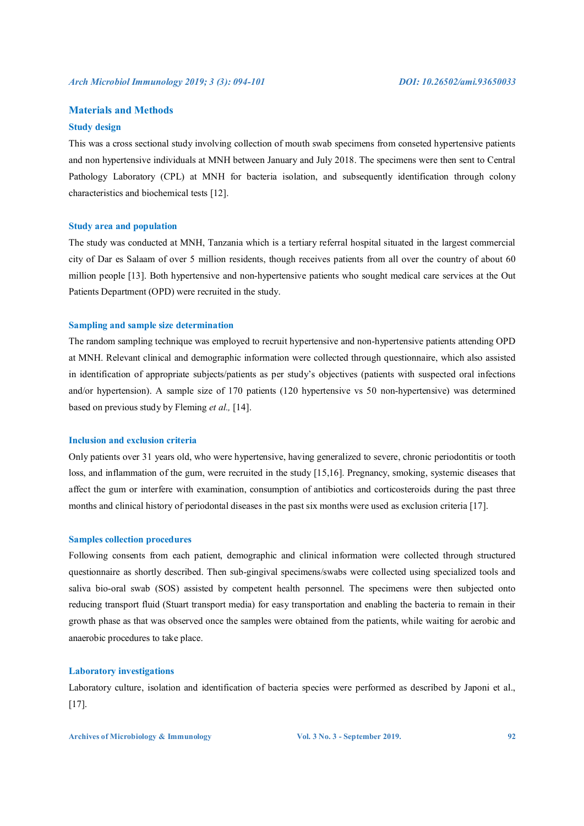# **Materials and Methods**

# **Study design**

This was a cross sectional study involving collection of mouth swab specimens from conseted hypertensive patients and non hypertensive individuals at MNH between January and July 2018. The specimens were then sent to Central Pathology Laboratory (CPL) at MNH for bacteria isolation, and subsequently identification through colony characteristics and biochemical tests [12].

### **Study area and population**

The study was conducted at MNH, Tanzania which is a tertiary referral hospital situated in the largest commercial city of Dar es Salaam of over 5 million residents, though receives patients from all over the country of about 60 million people [13]. Both hypertensive and non-hypertensive patients who sought medical care services at the Out Patients Department (OPD) were recruited in the study.

# **Sampling and sample size determination**

The random sampling technique was employed to recruit hypertensive and non-hypertensive patients attending OPD at MNH. Relevant clinical and demographic information were collected through questionnaire, which also assisted in identification of appropriate subjects/patients as per study's objectives (patients with suspected oral infections and/or hypertension). A sample size of 170 patients (120 hypertensive vs 50 non-hypertensive) was determined based on previous study by Fleming *et al.,* [14].

### **Inclusion and exclusion criteria**

Only patients over 31 years old, who were hypertensive, having generalized to severe, chronic periodontitis or tooth loss, and inflammation of the gum, were recruited in the study [15,16]. Pregnancy, smoking, systemic diseases that affect the gum or interfere with examination, consumption of antibiotics and corticosteroids during the past three months and clinical history of periodontal diseases in the past six months were used as exclusion criteria [17].

# **Samples collection procedures**

Following consents from each patient, demographic and clinical information were collected through structured questionnaire as shortly described. Then sub-gingival specimens/swabs were collected using specialized tools and saliva bio-oral swab (SOS) assisted by competent health personnel. The specimens were then subjected onto reducing transport fluid (Stuart transport media) for easy transportation and enabling the bacteria to remain in their growth phase as that was observed once the samples were obtained from the patients, while waiting for aerobic and anaerobic procedures to take place.

# **Laboratory investigations**

Laboratory culture, isolation and identification of bacteria species were performed as described by Japoni et al., [17].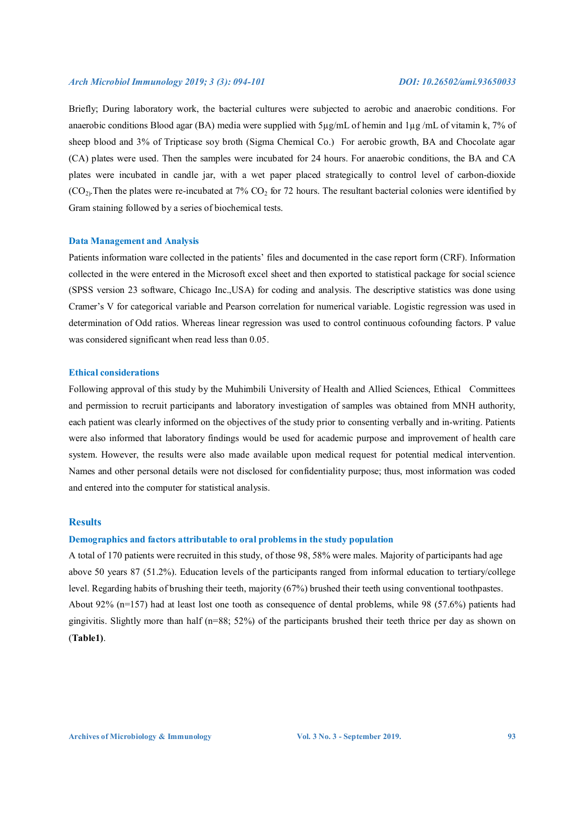Briefly; During laboratory work, the bacterial cultures were subjected to aerobic and anaerobic conditions. For anaerobic conditions Blood agar (BA) media were supplied with 5µg/mL of hemin and 1µg /mL of vitamin k, 7% of sheep blood and 3% of Tripticase soy broth (Sigma Chemical Co.) For aerobic growth, BA and Chocolate agar (CA) plates were used. Then the samples were incubated for 24 hours. For anaerobic conditions, the BA and CA plates were incubated in candle jar, with a wet paper placed strategically to control level of carbon-dioxide  $(CO<sub>2</sub>)$ . Then the plates were re-incubated at 7%  $CO<sub>2</sub>$  for 72 hours. The resultant bacterial colonies were identified by Gram staining followed by a series of biochemical tests.

# **Data Management and Analysis**

Patients information ware collected in the patients' files and documented in the case report form (CRF). Information collected in the were entered in the Microsoft excel sheet and then exported to statistical package for social science (SPSS version 23 software, Chicago Inc.,USA) for coding and analysis. The descriptive statistics was done using Cramer's V for categorical variable and Pearson correlation for numerical variable. Logistic regression was used in determination of Odd ratios. Whereas linear regression was used to control continuous cofounding factors. P value was considered significant when read less than 0.05.

# **Ethical considerations**

Following approval of this study by the Muhimbili University of Health and Allied Sciences, Ethical Committees and permission to recruit participants and laboratory investigation of samples was obtained from MNH authority, each patient was clearly informed on the objectives of the study prior to consenting verbally and in-writing. Patients were also informed that laboratory findings would be used for academic purpose and improvement of health care system. However, the results were also made available upon medical request for potential medical intervention. Names and other personal details were not disclosed for confidentiality purpose; thus, most information was coded and entered into the computer for statistical analysis.

# **Results**

### **Demographics and factors attributable to oral problems in the study population**

A total of 170 patients were recruited in this study, of those 98, 58% were males. Majority of participants had age above 50 years 87 (51.2%). Education levels of the participants ranged from informal education to tertiary/college level. Regarding habits of brushing their teeth, majority (67%) brushed their teeth using conventional toothpastes. About 92% (n=157) had at least lost one tooth as consequence of dental problems, while 98 (57.6%) patients had gingivitis. Slightly more than half (n=88; 52%) of the participants brushed their teeth thrice per day as shown on (**Table1)**.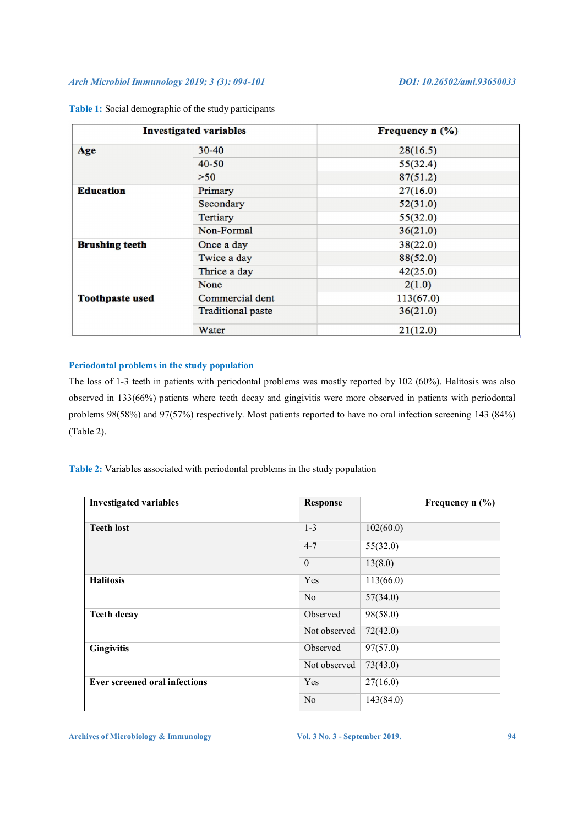| <b>Investigated variables</b> |                          | Frequency n (%) |
|-------------------------------|--------------------------|-----------------|
| Age                           | $30 - 40$                | 28(16.5)        |
|                               | $40 - 50$                | 55(32.4)        |
|                               | >50                      | 87(51.2)        |
| <b>Education</b>              | Primary                  | 27(16.0)        |
|                               | Secondary                | 52(31.0)        |
|                               | <b>Tertiary</b>          | 55(32.0)        |
|                               | Non-Formal               | 36(21.0)        |
| <b>Brushing teeth</b>         | Once a day               | 38(22.0)        |
|                               | Twice a day              | 88(52.0)        |
|                               | Thrice a day             | 42(25.0)        |
|                               | None                     | 2(1.0)          |
| <b>Toothpaste used</b>        | Commercial dent          | 113(67.0)       |
|                               | <b>Traditional paste</b> | 36(21.0)        |
|                               | Water                    | 21(12.0)        |

**Table 1:** Social demographic of the study participants

# **Periodontal problems in the study population**

The loss of 1-3 teeth in patients with periodontal problems was mostly reported by 102 (60%). Halitosis was also observed in 133(66%) patients where teeth decay and gingivitis were more observed in patients with periodontal problems 98(58%) and 97(57%) respectively. Most patients reported to have no oral infection screening 143 (84%) (Table 2).

**Table 2:** Variables associated with periodontal problems in the study population

| <b>Investigated variables</b>        | <b>Response</b> | Frequency $n$ (%) |
|--------------------------------------|-----------------|-------------------|
| <b>Teeth lost</b>                    | $1 - 3$         | 102(60.0)         |
|                                      | $4 - 7$         | 55(32.0)          |
|                                      | $\theta$        | 13(8.0)           |
| <b>Halitosis</b>                     | <b>Yes</b>      | 113(66.0)         |
|                                      | N <sub>o</sub>  | 57(34.0)          |
| <b>Teeth decay</b>                   | Observed        | 98(58.0)          |
|                                      | Not observed    | 72(42.0)          |
| <b>Gingivitis</b>                    | Observed        | 97(57.0)          |
|                                      | Not observed    | 73(43.0)          |
| <b>Ever screened oral infections</b> | Yes             | 27(16.0)          |
|                                      | N <sub>o</sub>  | 143(84.0)         |

Archives of Microbiology & Immunology **Xamps 2019.** Vol. 3 No. 3 - September 2019.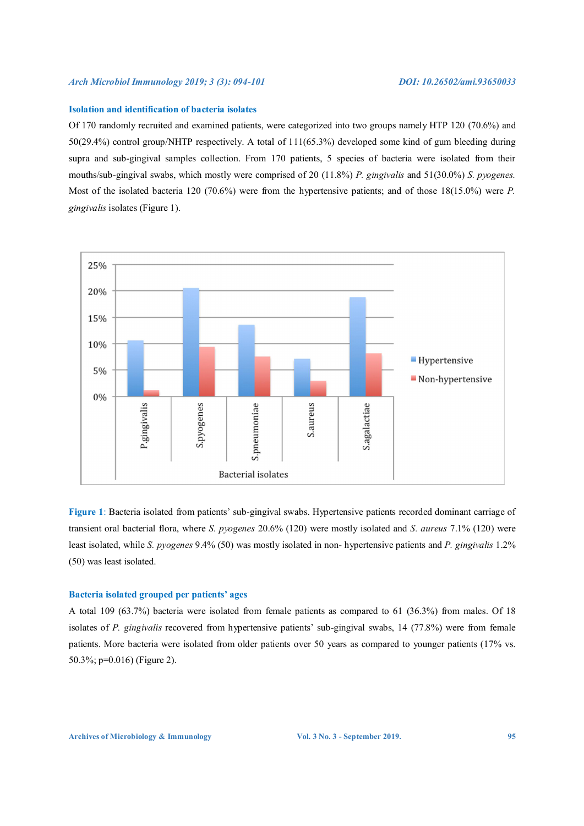# **Isolation and identification of bacteria isolates**

Of 170 randomly recruited and examined patients, were categorized into two groups namely HTP 120 (70.6%) and 50(29.4%) control group/NHTP respectively. A total of 111(65.3%) developed some kind of gum bleeding during supra and sub-gingival samples collection. From 170 patients, 5 species of bacteria were isolated from their mouths/sub-gingival swabs, which mostly were comprised of 20 (11.8%) *P. gingivalis* and 51(30.0%) *S. pyogenes.*  Most of the isolated bacteria 120 (70.6%) were from the hypertensive patients; and of those 18(15.0%) were *P. gingivalis* isolates (Figure 1).



**Figure 1**: Bacteria isolated from patients' sub-gingival swabs. Hypertensive patients recorded dominant carriage of transient oral bacterial flora, where *S. pyogenes* 20.6% (120) were mostly isolated and *S. aureus* 7.1% (120) were least isolated, while *S. pyogenes* 9.4% (50) was mostly isolated in non- hypertensive patients and *P. gingivalis* 1.2% (50) was least isolated.

# **Bacteria isolated grouped per patients' ages**

A total 109 (63.7%) bacteria were isolated from female patients as compared to 61 (36.3%) from males. Of 18 isolates of *P. gingivalis* recovered from hypertensive patients' sub-gingival swabs, 14 (77.8%) were from female patients. More bacteria were isolated from older patients over 50 years as compared to younger patients (17% vs. 50.3%; p=0.016) (Figure 2).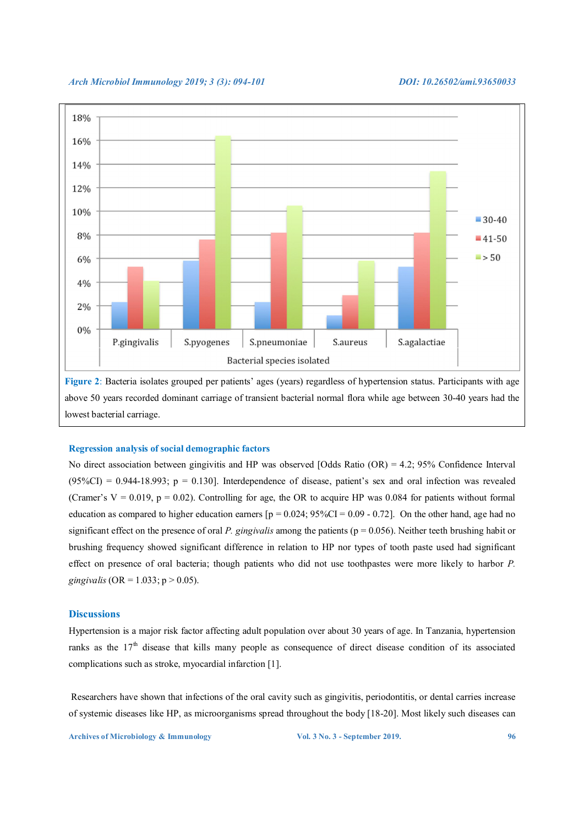

**Figure 2**: Bacteria isolates grouped per patients' ages (years) regardless of hypertension status. Participants with age above 50 years recorded dominant carriage of transient bacterial normal flora while age between 30-40 years had the lowest bacterial carriage.

# **Regression analysis of social demographic factors**

No direct association between gingivitis and HP was observed [Odds Ratio (OR) = 4.2; 95% Confidence Interval  $(95\%CI) = 0.944-18.993$ ; p = 0.130]. Interdependence of disease, patient's sex and oral infection was revealed (Cramer's  $V = 0.019$ ,  $p = 0.02$ ). Controlling for age, the OR to acquire HP was 0.084 for patients without formal education as compared to higher education earners  $[p = 0.024; 95\% CI = 0.09 - 0.72]$ . On the other hand, age had no significant effect on the presence of oral *P. gingivalis* among the patients (p = 0.056). Neither teeth brushing habit or brushing frequency showed significant difference in relation to HP nor types of tooth paste used had significant effect on presence of oral bacteria; though patients who did not use toothpastes were more likely to harbor *P. gingivalis* (OR = 1.033; p > 0.05).

# **Discussions**

Hypertension is a major risk factor affecting adult population over about 30 years of age. In Tanzania, hypertension ranks as the 17<sup>th</sup> disease that kills many people as consequence of direct disease condition of its associated complications such as stroke, myocardial infarction [1].

 Researchers have shown that infections of the oral cavity such as gingivitis, periodontitis, or dental carries increase of systemic diseases like HP, as microorganisms spread throughout the body [18-20]. Most likely such diseases can

**Archives of Microbiology & Immunology**  $\blacksquare$  **Vol. 3 No. 3 - September 2019.** 96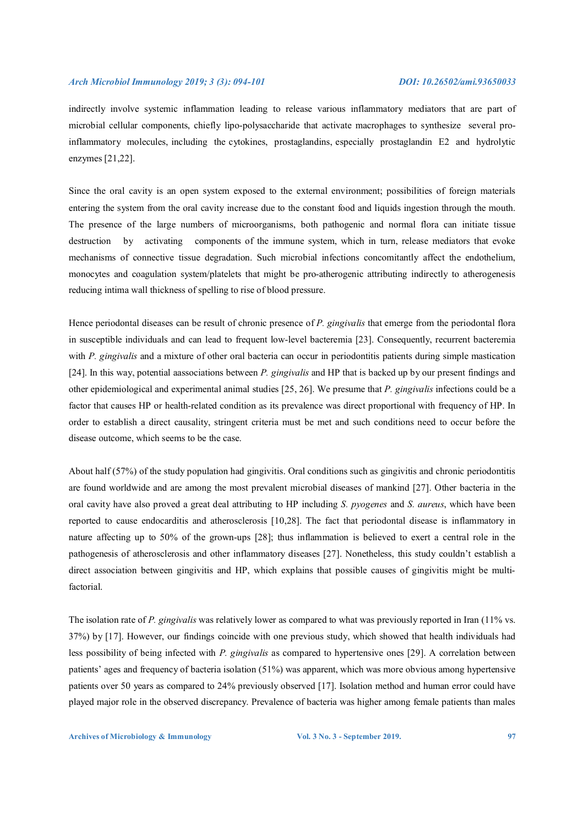indirectly involve systemic inflammation leading to release various inflammatory mediators that are part of microbial cellular components, chiefly lipo-polysaccharide that activate macrophages to synthesize several proinflammatory molecules, including the cytokines, prostaglandins, especially prostaglandin E2 and hydrolytic enzymes [21,22].

Since the oral cavity is an open system exposed to the external environment; possibilities of foreign materials entering the system from the oral cavity increase due to the constant food and liquids ingestion through the mouth. The presence of the large numbers of microorganisms, both pathogenic and normal flora can initiate tissue destruction by activating components of the immune system, which in turn, release mediators that evoke mechanisms of connective tissue degradation. Such microbial infections concomitantly affect the endothelium, monocytes and coagulation system/platelets that might be pro-atherogenic attributing indirectly to atherogenesis reducing intima wall thickness of spelling to rise of blood pressure.

Hence periodontal diseases can be result of chronic presence of *P. gingivalis* that emerge from the periodontal flora in susceptible individuals and can lead to frequent low-level bacteremia [23]. Consequently, recurrent bacteremia with *P. gingivalis* and a mixture of other oral bacteria can occur in periodontitis patients during simple mastication [24]. In this way, potential aassociations between *P. gingivalis* and HP that is backed up by our present findings and other epidemiological and experimental animal studies [25, 26]. We presume that *P. gingivalis* infections could be a factor that causes HP or health-related condition as its prevalence was direct proportional with frequency of HP. In order to establish a direct causality, stringent criteria must be met and such conditions need to occur before the disease outcome, which seems to be the case.

About half (57%) of the study population had gingivitis. Oral conditions such as gingivitis and chronic periodontitis are found worldwide and are among the most prevalent microbial diseases of mankind [27]. Other bacteria in the oral cavity have also proved a great deal attributing to HP including *S. pyogenes* and *S. aureus*, which have been reported to cause endocarditis and atherosclerosis [10,28]. The fact that periodontal disease is inflammatory in nature affecting up to 50% of the grown-ups [28]; thus inflammation is believed to exert a central role in the pathogenesis of atherosclerosis and other inflammatory diseases [27]. Nonetheless, this study couldn't establish a direct association between gingivitis and HP, which explains that possible causes of gingivitis might be multifactorial.

The isolation rate of *P. gingivalis* was relatively lower as compared to what was previously reported in Iran (11% vs. 37%) by [17]. However, our findings coincide with one previous study, which showed that health individuals had less possibility of being infected with *P. gingivalis* as compared to hypertensive ones [29]. A correlation between patients' ages and frequency of bacteria isolation (51%) was apparent, which was more obvious among hypertensive patients over 50 years as compared to 24% previously observed [17]. Isolation method and human error could have played major role in the observed discrepancy. Prevalence of bacteria was higher among female patients than males

**Archives of Microbiology & Immunology 37 Col. 3 No. 3 - September 2019.** 97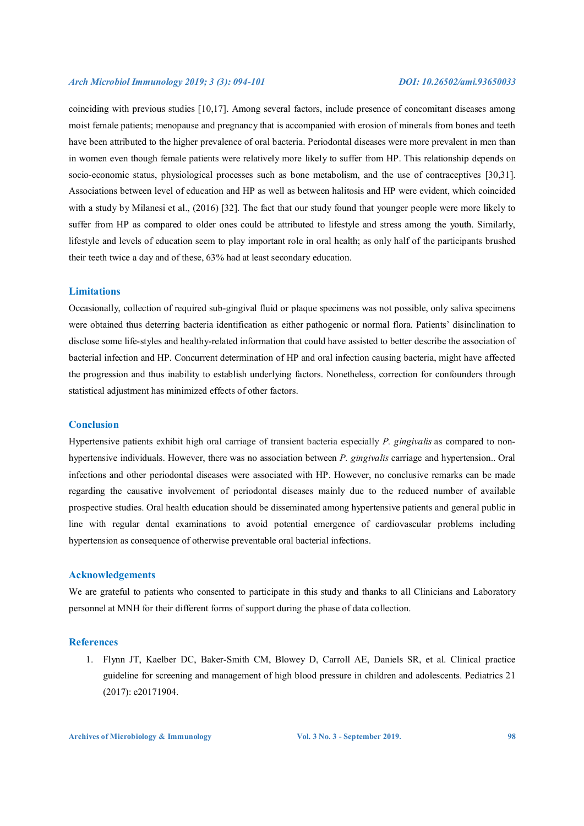coinciding with previous studies [10,17]. Among several factors, include presence of concomitant diseases among moist female patients; menopause and pregnancy that is accompanied with erosion of minerals from bones and teeth have been attributed to the higher prevalence of oral bacteria. Periodontal diseases were more prevalent in men than in women even though female patients were relatively more likely to suffer from HP. This relationship depends on socio-economic status, physiological processes such as bone metabolism, and the use of contraceptives [30,31]. Associations between level of education and HP as well as between halitosis and HP were evident, which coincided with a study by Milanesi et al., (2016) [32]. The fact that our study found that younger people were more likely to suffer from HP as compared to older ones could be attributed to lifestyle and stress among the youth. Similarly, lifestyle and levels of education seem to play important role in oral health; as only half of the participants brushed their teeth twice a day and of these, 63% had at least secondary education.

#### **Limitations**

Occasionally, collection of required sub-gingival fluid or plaque specimens was not possible, only saliva specimens were obtained thus deterring bacteria identification as either pathogenic or normal flora. Patients' disinclination to disclose some life-styles and healthy-related information that could have assisted to better describe the association of bacterial infection and HP. Concurrent determination of HP and oral infection causing bacteria, might have affected the progression and thus inability to establish underlying factors. Nonetheless, correction for confounders through statistical adjustment has minimized effects of other factors.

# **Conclusion**

Hypertensive patients exhibit high oral carriage of transient bacteria especially *P. gingivalis* as compared to nonhypertensive individuals. However, there was no association between *P. gingivalis* carriage and hypertension.. Oral infections and other periodontal diseases were associated with HP. However, no conclusive remarks can be made regarding the causative involvement of periodontal diseases mainly due to the reduced number of available prospective studies. Oral health education should be disseminated among hypertensive patients and general public in line with regular dental examinations to avoid potential emergence of cardiovascular problems including hypertension as consequence of otherwise preventable oral bacterial infections.

# **Acknowledgements**

We are grateful to patients who consented to participate in this study and thanks to all Clinicians and Laboratory personnel at MNH for their different forms of support during the phase of data collection.

# **References**

1. Flynn JT, Kaelber DC, Baker-Smith CM, Blowey D, Carroll AE, Daniels SR, et al. Clinical practice guideline for screening and management of high blood pressure in children and adolescents. Pediatrics 21 (2017): e20171904.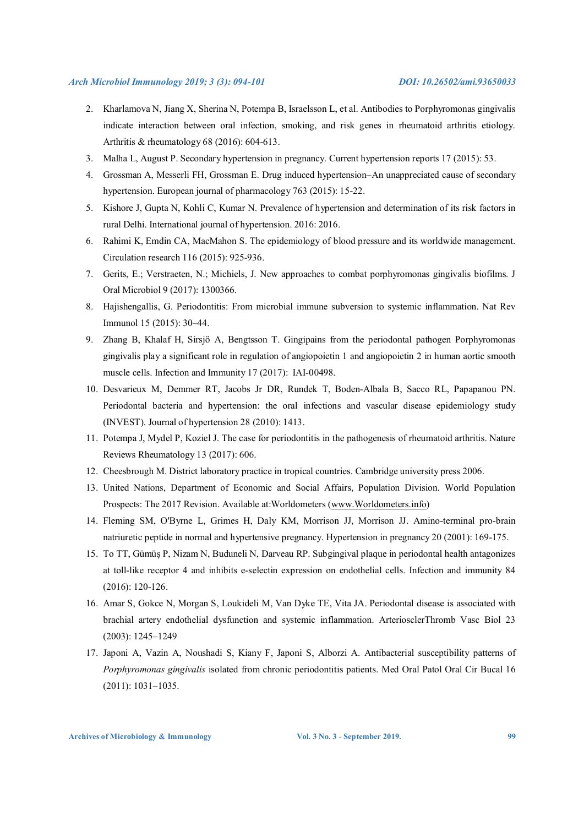- 2. Kharlamova N, Jiang X, Sherina N, Potempa B, Israelsson L, et al. Antibodies to Porphyromonas gingivalis indicate interaction between oral infection, smoking, and risk genes in rheumatoid arthritis etiology. Arthritis & rheumatology 68 (2016): 604-613.
- 3. Malha L, August P. Secondary hypertension in pregnancy. Current hypertension reports 17 (2015): 53.
- 4. Grossman A, Messerli FH, Grossman E. Drug induced hypertension–An unappreciated cause of secondary hypertension. European journal of pharmacology 763 (2015): 15-22.
- 5. Kishore J, Gupta N, Kohli C, Kumar N. Prevalence of hypertension and determination of its risk factors in rural Delhi. International journal of hypertension. 2016: 2016.
- 6. Rahimi K, Emdin CA, MacMahon S. The epidemiology of blood pressure and its worldwide management. Circulation research 116 (2015): 925-936.
- 7. Gerits, E.; Verstraeten, N.; Michiels, J. New approaches to combat porphyromonas gingivalis biofilms. J Oral Microbiol 9 (2017): 1300366.
- 8. Hajishengallis, G. Periodontitis: From microbial immune subversion to systemic inflammation. Nat Rev Immunol 15 (2015): 30–44.
- 9. Zhang B, Khalaf H, Sirsjö A, Bengtsson T. Gingipains from the periodontal pathogen Porphyromonas gingivalis play a significant role in regulation of angiopoietin 1 and angiopoietin 2 in human aortic smooth muscle cells. Infection and Immunity 17 (2017): IAI-00498.
- 10. Desvarieux M, Demmer RT, Jacobs Jr DR, Rundek T, Boden-Albala B, Sacco RL, Papapanou PN. Periodontal bacteria and hypertension: the oral infections and vascular disease epidemiology study (INVEST). Journal of hypertension 28 (2010): 1413.
- 11. Potempa J, Mydel P, Koziel J. The case for periodontitis in the pathogenesis of rheumatoid arthritis. Nature Reviews Rheumatology 13 (2017): 606.
- 12. Cheesbrough M. District laboratory practice in tropical countries. Cambridge university press 2006.
- 13. United Nations, Department of Economic and Social Affairs, Population Division. World Population Prospects: The 2017 Revision. Available at:Worldometers (www.Worldometers.info)
- 14. Fleming SM, O'Byrne L, Grimes H, Daly KM, Morrison JJ, Morrison JJ. Amino-terminal pro-brain natriuretic peptide in normal and hypertensive pregnancy. Hypertension in pregnancy 20 (2001): 169-175.
- 15. To TT, Gümüş P, Nizam N, Buduneli N, Darveau RP. Subgingival plaque in periodontal health antagonizes at toll-like receptor 4 and inhibits e-selectin expression on endothelial cells. Infection and immunity 84 (2016): 120-126.
- 16. Amar S, Gokce N, Morgan S, Loukideli M, Van Dyke TE, Vita JA. Periodontal disease is associated with brachial artery endothelial dysfunction and systemic inflammation. ArteriosclerThromb Vasc Biol 23 (2003): 1245–1249
- 17. Japoni A, Vazin A, Noushadi S, Kiany F, Japoni S, Alborzi A. Antibacterial susceptibility patterns of *Porphyromonas gingivalis* isolated from chronic periodontitis patients. Med Oral Patol Oral Cir Bucal 16 (2011): 1031–1035.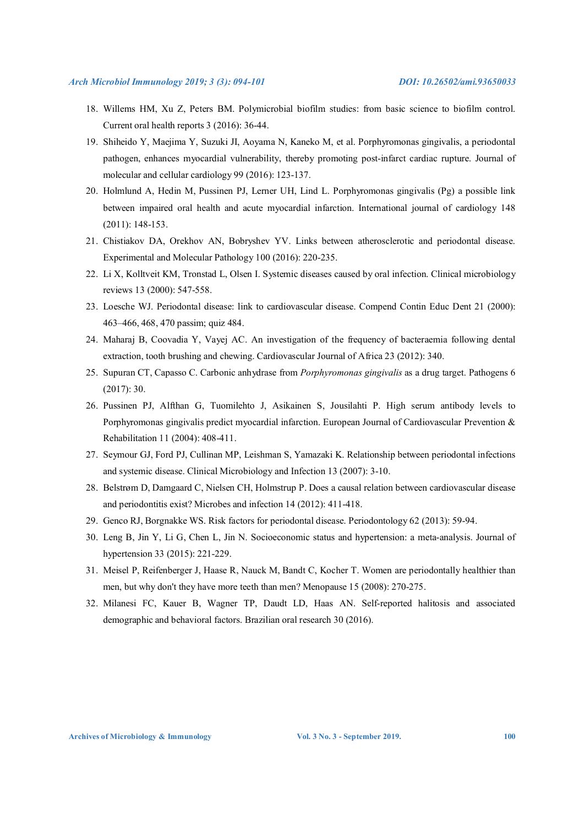- 18. Willems HM, Xu Z, Peters BM. Polymicrobial biofilm studies: from basic science to biofilm control. Current oral health reports 3 (2016): 36-44.
- 19. Shiheido Y, Maejima Y, Suzuki JI, Aoyama N, Kaneko M, et al. Porphyromonas gingivalis, a periodontal pathogen, enhances myocardial vulnerability, thereby promoting post-infarct cardiac rupture. Journal of molecular and cellular cardiology 99 (2016): 123-137.
- 20. Holmlund A, Hedin M, Pussinen PJ, Lerner UH, Lind L. Porphyromonas gingivalis (Pg) a possible link between impaired oral health and acute myocardial infarction. International journal of cardiology 148 (2011): 148-153.
- 21. Chistiakov DA, Orekhov AN, Bobryshev YV. Links between atherosclerotic and periodontal disease. Experimental and Molecular Pathology 100 (2016): 220-235.
- 22. Li X, Kolltveit KM, Tronstad L, Olsen I. Systemic diseases caused by oral infection. Clinical microbiology reviews 13 (2000): 547-558.
- 23. Loesche WJ. Periodontal disease: link to cardiovascular disease. Compend Contin Educ Dent 21 (2000): 463–466, 468, 470 passim; quiz 484.
- 24. Maharaj B, Coovadia Y, Vayej AC. An investigation of the frequency of bacteraemia following dental extraction, tooth brushing and chewing. Cardiovascular Journal of Africa 23 (2012): 340.
- 25. Supuran CT, Capasso C. Carbonic anhydrase from *Porphyromonas gingivalis* as a drug target. Pathogens 6 (2017): 30.
- 26. Pussinen PJ, Alfthan G, Tuomilehto J, Asikainen S, Jousilahti P. High serum antibody levels to Porphyromonas gingivalis predict myocardial infarction. European Journal of Cardiovascular Prevention & Rehabilitation 11 (2004): 408-411.
- 27. Seymour GJ, Ford PJ, Cullinan MP, Leishman S, Yamazaki K. Relationship between periodontal infections and systemic disease. Clinical Microbiology and Infection 13 (2007): 3-10.
- 28. Belstrøm D, Damgaard C, Nielsen CH, Holmstrup P. Does a causal relation between cardiovascular disease and periodontitis exist? Microbes and infection 14 (2012): 411-418.
- 29. Genco RJ, Borgnakke WS. Risk factors for periodontal disease. Periodontology 62 (2013): 59-94.
- 30. Leng B, Jin Y, Li G, Chen L, Jin N. Socioeconomic status and hypertension: a meta-analysis. Journal of hypertension 33 (2015): 221-229.
- 31. Meisel P, Reifenberger J, Haase R, Nauck M, Bandt C, Kocher T. Women are periodontally healthier than men, but why don't they have more teeth than men? Menopause 15 (2008): 270-275.
- 32. Milanesi FC, Kauer B, Wagner TP, Daudt LD, Haas AN. Self-reported halitosis and associated demographic and behavioral factors. Brazilian oral research 30 (2016).